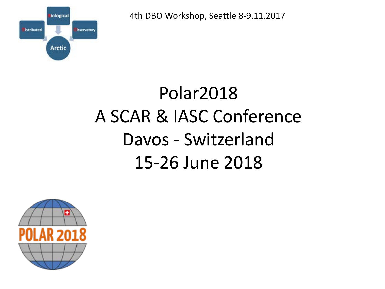4th DBO Workshop, Seattle 8-9.11.2017



## Polar2018 A SCAR & IASC Conference Davos - Switzerland 15-26 June 2018

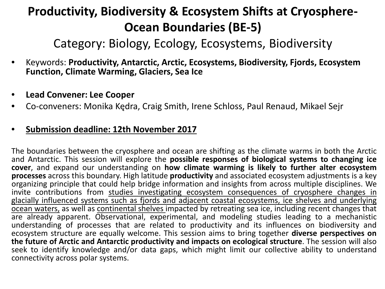## **Productivity, Biodiversity & Ecosystem Shifts at Cryosphere-Ocean Boundaries (BE-5)**

Category: Biology, Ecology, Ecosystems, Biodiversity

- Keywords: **Productivity, Antarctic, Arctic, Ecosystems, Biodiversity, Fjords, Ecosystem Function, Climate Warming, Glaciers, Sea Ice**
- **Lead Convener: Lee Cooper**
- Co-conveners: Monika Kędra, Craig Smith, Irene Schloss, Paul Renaud, Mikael Sejr

## • **Submission deadline: 12th November 2017**

The boundaries between the cryosphere and ocean are shifting as the climate warms in both the Arctic and Antarctic. This session will explore the **possible responses of biological systems to changing ice cover**, and expand our understanding on **how climate warming is likely to further alter ecosystem processes** across this boundary. High latitude **productivity** and associated ecosystem adjustments is a key organizing principle that could help bridge information and insights from across multiple disciplines. We invite contributions from studies investigating ecosystem consequences of cryosphere changes in glacially influenced systems such as fjords and adjacent coastal ecosystems, ice shelves and underlying ocean waters, as well as continental shelves impacted by retreating sea ice, including recent changes that are already apparent. Observational, experimental, and modeling studies leading to a mechanistic understanding of processes that are related to productivity and its influences on biodiversity and ecosystem structure are equally welcome. This session aims to bring together **diverse perspectives on the future of Arctic and Antarctic productivity and impacts on ecological structure**. The session will also seek to identify knowledge and/or data gaps, which might limit our collective ability to understand connectivity across polar systems.